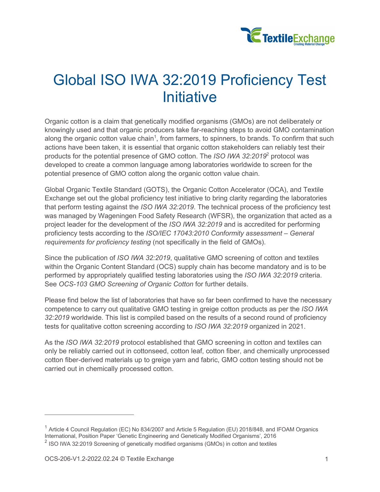

## Global ISO IWA 32:2019 Proficiency Test **Initiative**

Organic cotton is a claim that genetically modified organisms (GMOs) are not deliberately or knowingly used and that organic producers take far-reaching steps to avoid GMO contamination along the organic cotton value chain<sup>1</sup>, from farmers, to spinners, to brands. To confirm that such actions have been taken, it is essential that organic cotton stakeholders can reliably test their products for the potential presence of GMO cotton. The *ISO IWA 32:2019*<sup>2</sup> protocol was developed to create a common language among laboratories worldwide to screen for the potential presence of GMO cotton along the organic cotton value chain.

Global Organic Textile Standard (GOTS), the Organic Cotton Accelerator (OCA), and Textile Exchange set out the global proficiency test initiative to bring clarity regarding the laboratories that perform testing against the *ISO IWA 32:2019*. The technical process of the proficiency test was managed by Wageningen Food Safety Research (WFSR), the organization that acted as a project leader for the development of the *ISO IWA 32:2019* and is accredited for performing proficiency tests according to the *ISO/IEC 17043:2010 Conformity assessment – General requirements for proficiency testing* (not specifically in the field of GMOs).

Since the publication of *ISO IWA 32:2019*, qualitative GMO screening of cotton and textiles within the Organic Content Standard (OCS) supply chain has become mandatory and is to be performed by appropriately qualified testing laboratories using the *ISO IWA 32:2019* criteria. See *OCS-103 GMO Screening of Organic Cotton* for further details.

Please find below the list of laboratories that have so far been confirmed to have the necessary competence to carry out qualitative GMO testing in greige cotton products as per the *ISO IWA 32:2019* worldwide. This list is compiled based on the results of a second round of proficiency tests for qualitative cotton screening according to *ISO IWA 32:2019* organized in 2021.

As the *ISO IWA 32:2019* protocol established that GMO screening in cotton and textiles can only be reliably carried out in cottonseed, cotton leaf, cotton fiber, and chemically unprocessed cotton fiber-derived materials up to greige yarn and fabric, GMO cotton testing should not be carried out in chemically processed cotton.

<sup>&</sup>lt;sup>1</sup> Article 4 Council Regulation (EC) No 834/2007 and Article 5 Regulation (EU) 2018/848, and IFOAM Organics International, Position Paper 'Genetic Engineering and Genetically Modified Organisms', 2016

<sup>&</sup>lt;sup>2</sup> ISO IWA 32:2019 Screening of genetically modified organisms (GMOs) in cotton and textiles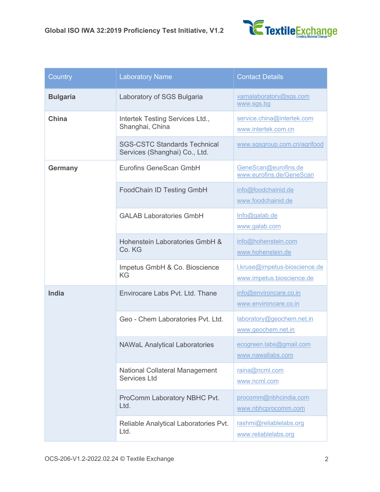

| Country         | <b>Laboratory Name</b>                                               | <b>Contact Details</b>                                     |
|-----------------|----------------------------------------------------------------------|------------------------------------------------------------|
| <b>Bulgaria</b> | Laboratory of SGS Bulgaria                                           | varnalaboratory@sgs.com<br>www.sgs.bg                      |
| <b>China</b>    | Intertek Testing Services Ltd.,<br>Shanghai, China                   | service.china@intertek.com<br>www.intertek.com.cn          |
|                 | <b>SGS-CSTC Standards Technical</b><br>Services (Shanghai) Co., Ltd. | www.sgsgroup.com.cn/agrifood                               |
| <b>Germany</b>  | <b>Eurofins GeneScan GmbH</b>                                        | GeneScan@eurofins.de<br>www.eurofins.de/GeneScan           |
|                 | <b>FoodChain ID Testing GmbH</b>                                     | info@foodchainid.de<br>www.foodchainid.de                  |
|                 | <b>GALAB Laboratories GmbH</b>                                       | Info@galab.de<br>www.galab.com                             |
|                 | Hohenstein Laboratories GmbH &<br>Co. KG                             | info@hohenstein.com<br>www.hohenstein.de                   |
|                 | Impetus GmbH & Co. Bioscience<br>ΚG                                  | I.kruse@impetus-bioscience.de<br>www.impetus.bioscience.de |
| <b>India</b>    | Envirocare Labs Pvt. Ltd. Thane                                      | info@environcare.co.in<br>www.environcare.co.in            |
|                 | Geo - Chem Laboratories Pvt. Ltd.                                    | laboratory@geochem.net.in<br>www.geochem.net.in            |
|                 | <b>NAWaL Analytical Laboratories</b>                                 | ecogreen.labs@gmail.com<br>www.nawallabs.com               |
|                 | <b>National Collateral Management</b><br><b>Services Ltd</b>         | raina@ncml.com<br>www.ncml.com                             |
|                 | ProComm Laboratory NBHC Pvt.<br>Ltd.                                 | procomm@nbhcindia.com<br>www.nbhcprocomm.com               |
|                 | Reliable Analytical Laboratories Pvt.<br>Ltd.                        | rashmi@reliablelabs.org<br>www.reliablelabs.org            |